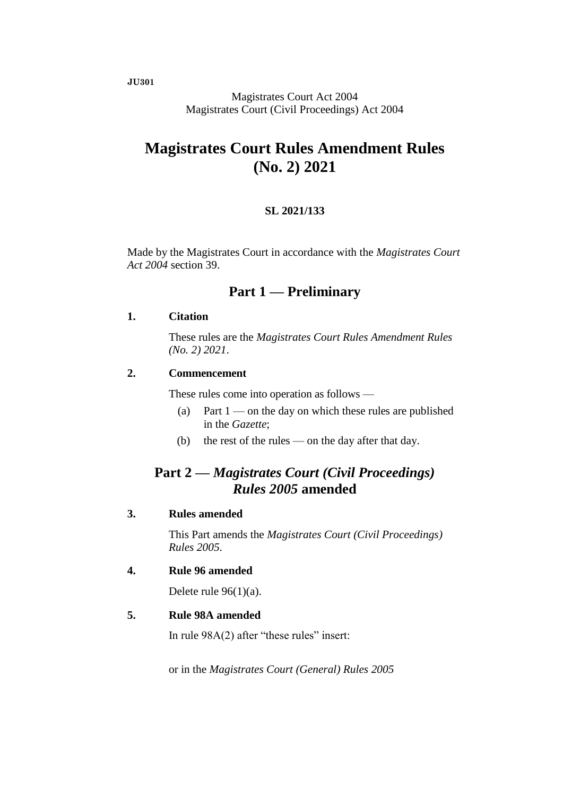**JU301**

Magistrates Court Act 2004 Magistrates Court (Civil Proceedings) Act 2004

# **Magistrates Court Rules Amendment Rules (No. 2) 2021**

#### **SL 2021/133**

Made by the Magistrates Court in accordance with the *Magistrates Court Act 2004* section 39.

### **Part 1 — Preliminary**

#### **1. Citation**

These rules are the *Magistrates Court Rules Amendment Rules (No. 2) 2021*.

#### **2. Commencement**

These rules come into operation as follows —

- (a) Part  $1$  on the day on which these rules are published in the *Gazette*;
- (b) the rest of the rules on the day after that day.

### **Part 2 —** *Magistrates Court (Civil Proceedings) Rules 2005* **amended**

#### **3. Rules amended**

This Part amends the *Magistrates Court (Civil Proceedings) Rules 2005*.

#### **4. Rule 96 amended**

Delete rule  $96(1)(a)$ .

#### **5. Rule 98A amended**

In rule 98A(2) after "these rules" insert:

or in the *Magistrates Court (General) Rules 2005*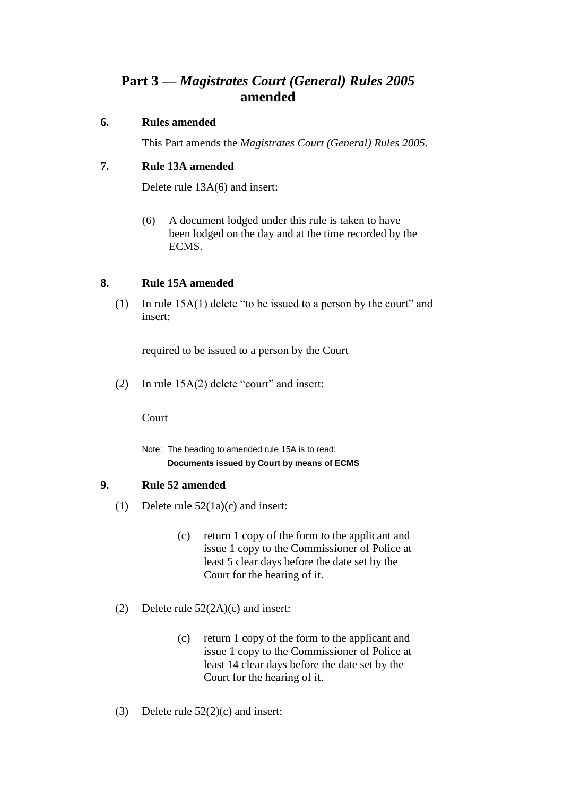## **Part 3 —** *Magistrates Court (General) Rules 2005* **amended**

#### **6. Rules amended**

This Part amends the *Magistrates Court (General) Rules 2005*.

#### **7. Rule 13A amended**

Delete rule 13A(6) and insert:

(6) A document lodged under this rule is taken to have been lodged on the day and at the time recorded by the ECMS.

#### **8. Rule 15A amended**

(1) In rule 15A(1) delete "to be issued to a person by the court" and insert:

required to be issued to a person by the Court

(2) In rule 15A(2) delete "court" and insert:

Court

Note: The heading to amended rule 15A is to read: **Documents issued by Court by means of ECMS**

#### **9. Rule 52 amended**

- (1) Delete rule 52(1a)(c) and insert:
	- (c) return 1 copy of the form to the applicant and issue 1 copy to the Commissioner of Police at least 5 clear days before the date set by the Court for the hearing of it.
- (2) Delete rule 52(2A)(c) and insert:
	- (c) return 1 copy of the form to the applicant and issue 1 copy to the Commissioner of Police at least 14 clear days before the date set by the Court for the hearing of it.
- (3) Delete rule  $52(2)(c)$  and insert: